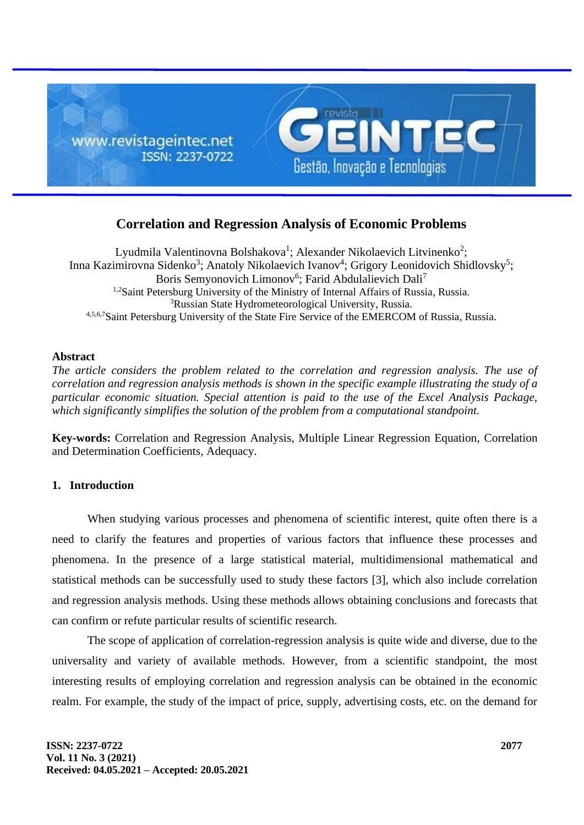

# **Correlation and Regression Analysis of Economic Problems**

Lyudmila Valentinovna Bolshakova<sup>1</sup>; Alexander Nikolaevich Litvinenko<sup>2</sup>; Inna Kazimirovna Sidenko<sup>3</sup>; Anatoly Nikolaevich Ivanov<sup>4</sup>; Grigory Leonidovich Shidlovsky<sup>5</sup>; Boris Semyonovich Limonov<sup>6</sup>; Farid Abdulalievich Dali<sup>7</sup> <sup>1,2</sup>Saint Petersburg University of the Ministry of Internal Affairs of Russia, Russia. <sup>3</sup>Russian State Hydrometeorological University, Russia. 4,5,6,7Saint Petersburg University of the State Fire Service of the EMERCOM of Russia, Russia.

### **Abstract**

*The article considers the problem related to the correlation and regression analysis. The use of correlation and regression analysis methods is shown in the specific example illustrating the study of a particular economic situation. Special attention is paid to the use of the Excel Analysis Package, which significantly simplifies the solution of the problem from a computational standpoint.*

**Key-words:** Correlation and Regression Analysis, Multiple Linear Regression Equation, Correlation and Determination Coefficients, Adequacy.

## **1. Introduction**

When studying various processes and phenomena of scientific interest, quite often there is a need to clarify the features and properties of various factors that influence these processes and phenomena. In the presence of a large statistical material, multidimensional mathematical and statistical methods can be successfully used to study these factors [3], which also include correlation and regression analysis methods. Using these methods allows obtaining conclusions and forecasts that can confirm or refute particular results of scientific research.

The scope of application of correlation-regression analysis is quite wide and diverse, due to the universality and variety of available methods. However, from a scientific standpoint, the most interesting results of employing correlation and regression analysis can be obtained in the economic realm. For example, the study of the impact of price, supply, advertising costs, etc. on the demand for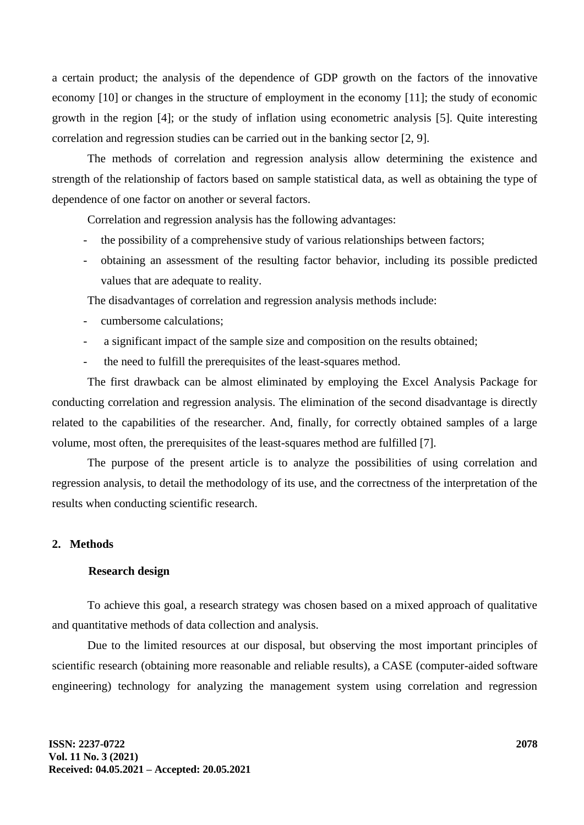a certain product; the analysis of the dependence of GDP growth on the factors of the innovative economy [10] or changes in the structure of employment in the economy [11]; the study of economic growth in the region [4]; or the study of inflation using econometric analysis [5]. Quite interesting correlation and regression studies can be carried out in the banking sector [2, 9].

The methods of correlation and regression analysis allow determining the existence and strength of the relationship of factors based on sample statistical data, as well as obtaining the type of dependence of one factor on another or several factors.

Correlation and regression analysis has the following advantages:

- the possibility of a comprehensive study of various relationships between factors;
- obtaining an assessment of the resulting factor behavior, including its possible predicted values that are adequate to reality.

The disadvantages of correlation and regression analysis methods include:

- cumbersome calculations:
- a significant impact of the sample size and composition on the results obtained;
- the need to fulfill the prerequisites of the least-squares method.

The first drawback can be almost eliminated by employing the Excel Analysis Package for conducting correlation and regression analysis. The elimination of the second disadvantage is directly related to the capabilities of the researcher. And, finally, for correctly obtained samples of a large volume, most often, the prerequisites of the least-squares method are fulfilled [7].

The purpose of the present article is to analyze the possibilities of using correlation and regression analysis, to detail the methodology of its use, and the correctness of the interpretation of the results when conducting scientific research.

### **2. Methods**

#### **Research design**

To achieve this goal, a research strategy was chosen based on a mixed approach of qualitative and quantitative methods of data collection and analysis.

Due to the limited resources at our disposal, but observing the most important principles of scientific research (obtaining more reasonable and reliable results), a CASE (computer-aided software engineering) technology for analyzing the management system using correlation and regression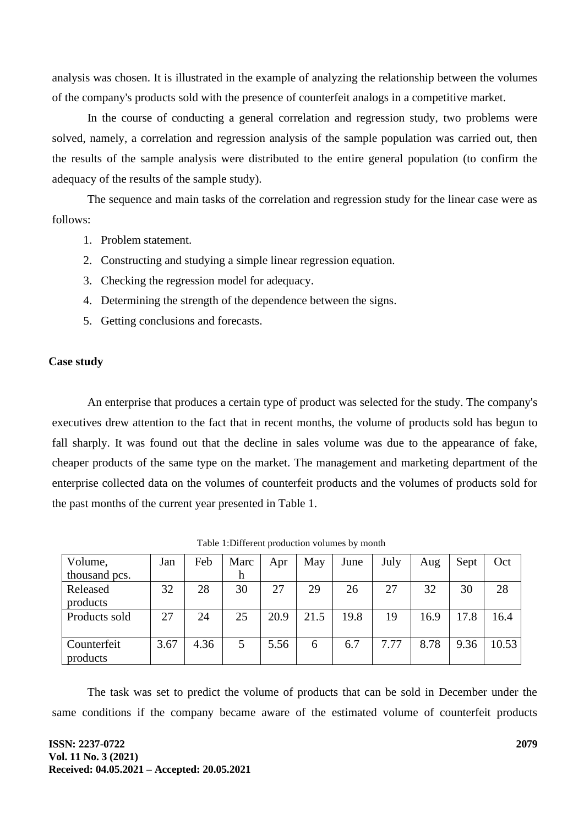analysis was chosen. It is illustrated in the example of analyzing the relationship between the volumes of the company's products sold with the presence of counterfeit analogs in a competitive market.

In the course of conducting a general correlation and regression study, two problems were solved, namely, a correlation and regression analysis of the sample population was carried out, then the results of the sample analysis were distributed to the entire general population (to confirm the adequacy of the results of the sample study).

The sequence and main tasks of the correlation and regression study for the linear case were as follows:

- 1. Problem statement.
- 2. Constructing and studying a simple linear regression equation.
- 3. Checking the regression model for adequacy.
- 4. Determining the strength of the dependence between the signs.
- 5. Getting conclusions and forecasts.

### **Case study**

An enterprise that produces a certain type of product was selected for the study. The company's executives drew attention to the fact that in recent months, the volume of products sold has begun to fall sharply. It was found out that the decline in sales volume was due to the appearance of fake, cheaper products of the same type on the market. The management and marketing department of the enterprise collected data on the volumes of counterfeit products and the volumes of products sold for the past months of the current year presented in Table 1.

| Volume,       | Jan  | Feb  | Marc | Apr  | May  | June | July | Aug  | Sept | Oct   |
|---------------|------|------|------|------|------|------|------|------|------|-------|
| thousand pcs. |      |      | h    |      |      |      |      |      |      |       |
| Released      | 32   | 28   | 30   | 27   | 29   | 26   | 27   | 32   | 30   | 28    |
| products      |      |      |      |      |      |      |      |      |      |       |
| Products sold | 27   | 24   | 25   | 20.9 | 21.5 | 19.8 | 19   | 16.9 | 17.8 | 16.4  |
|               |      |      |      |      |      |      |      |      |      |       |
| Counterfeit   | 3.67 | 4.36 |      | 5.56 | 6    | 6.7  | 7.77 | 8.78 | 9.36 | 10.53 |
| products      |      |      |      |      |      |      |      |      |      |       |

Table 1:Different production volumes by month

The task was set to predict the volume of products that can be sold in December under the same conditions if the company became aware of the estimated volume of counterfeit products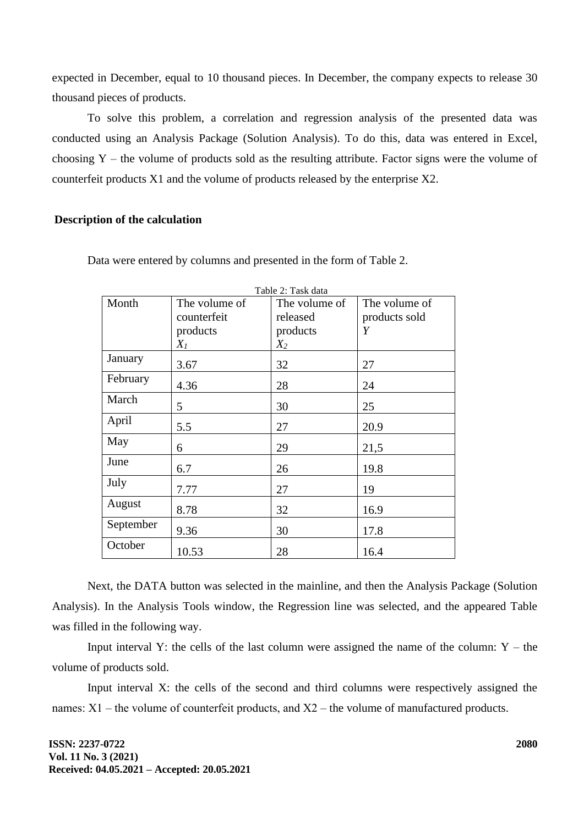expected in December, equal to 10 thousand pieces. In December, the company expects to release 30 thousand pieces of products.

To solve this problem, a correlation and regression analysis of the presented data was conducted using an Analysis Package (Solution Analysis). To do this, data was entered in Excel, choosing  $Y$  – the volume of products sold as the resulting attribute. Factor signs were the volume of counterfeit products X1 and the volume of products released by the enterprise X2.

### **Description of the calculation**

| Table 2: Task data |               |               |               |  |  |
|--------------------|---------------|---------------|---------------|--|--|
| Month              | The volume of | The volume of | The volume of |  |  |
|                    | counterfeit   | released      | products sold |  |  |
|                    | products      | products      | Y             |  |  |
|                    | $X_I$         | $X_2$         |               |  |  |
| January            | 3.67          | 32            | 27            |  |  |
| February           | 4.36          | 28            | 24            |  |  |
| March              | 5             | 30            | 25            |  |  |
| April              | 5.5           | 27            | 20.9          |  |  |
| May                | 6             | 29            | 21,5          |  |  |
| June               | 6.7           | 26            | 19.8          |  |  |
| July               | 7.77          | 27            | 19            |  |  |
| August             | 8.78          | 32            | 16.9          |  |  |
| September          | 9.36          | 30            | 17.8          |  |  |
| October            | 10.53         | 28            | 16.4          |  |  |

Data were entered by columns and presented in the form of Table 2.

Next, the DATA button was selected in the mainline, and then the Analysis Package (Solution Analysis). In the Analysis Tools window, the Regression line was selected, and the appeared Table was filled in the following way.

Input interval Y: the cells of the last column were assigned the name of the column:  $Y -$  the volume of products sold.

Input interval X: the cells of the second and third columns were respectively assigned the names: X1 – the volume of counterfeit products, and X2 – the volume of manufactured products.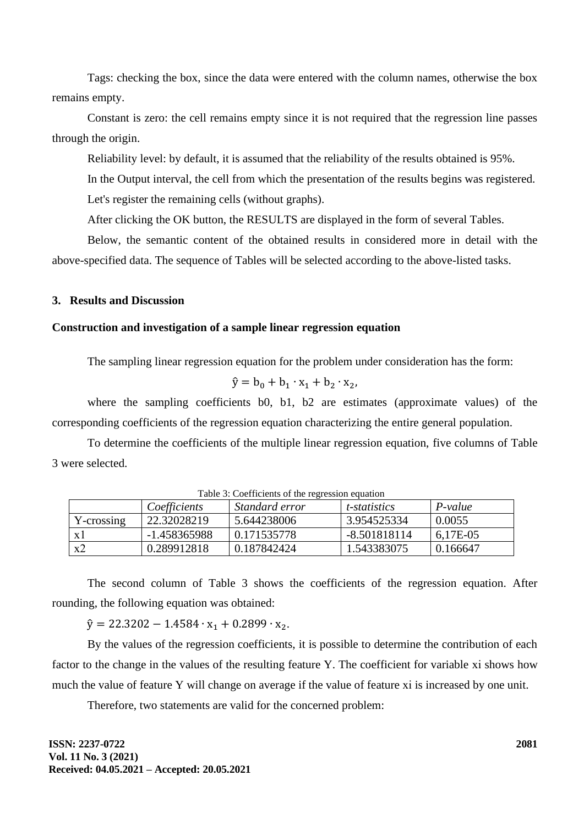Tags: checking the box, since the data were entered with the column names, otherwise the box remains empty.

Constant is zero: the cell remains empty since it is not required that the regression line passes through the origin.

Reliability level: by default, it is assumed that the reliability of the results obtained is 95%.

In the Output interval, the cell from which the presentation of the results begins was registered. Let's register the remaining cells (without graphs).

After clicking the OK button, the RESULTS are displayed in the form of several Tables.

Below, the semantic content of the obtained results in considered more in detail with the above-specified data. The sequence of Tables will be selected according to the above-listed tasks.

### **3. Results and Discussion**

### **Construction and investigation of a sample linear regression equation**

The sampling linear regression equation for the problem under consideration has the form:

$$
\hat{y} = b_0 + b_1 \cdot x_1 + b_2 \cdot x_2,
$$

where the sampling coefficients b0, b1, b2 are estimates (approximate values) of the corresponding coefficients of the regression equation characterizing the entire general population.

To determine the coefficients of the multiple linear regression equation, five columns of Table 3 were selected.

| TWOTE DI COUSTIVIERD OF MIR TRETADUROM AMMINISM |              |                |                      |           |  |  |
|-------------------------------------------------|--------------|----------------|----------------------|-----------|--|--|
|                                                 | Coefficients | Standard error | <i>t</i> -statistics | $P-value$ |  |  |
| Y-crossing                                      | 22.32028219  | 5.644238006    | 3.954525334          | 0.0055    |  |  |
| x l                                             | -1.458365988 | 0.171535778    | -8.501818114         | 6,17E-05  |  |  |
| x2                                              | 0.289912818  | 0.187842424    | 1.543383075          | 0.166647  |  |  |

Table 3: Coefficients of the regression equation

The second column of Table 3 shows the coefficients of the regression equation. After rounding, the following equation was obtained:

 $\hat{y} = 22.3202 - 1.4584 \cdot x_1 + 0.2899 \cdot x_2$ .

By the values of the regression coefficients, it is possible to determine the contribution of each factor to the change in the values of the resulting feature Y. The coefficient for variable xi shows how much the value of feature Y will change on average if the value of feature xi is increased by one unit.

Therefore, two statements are valid for the concerned problem: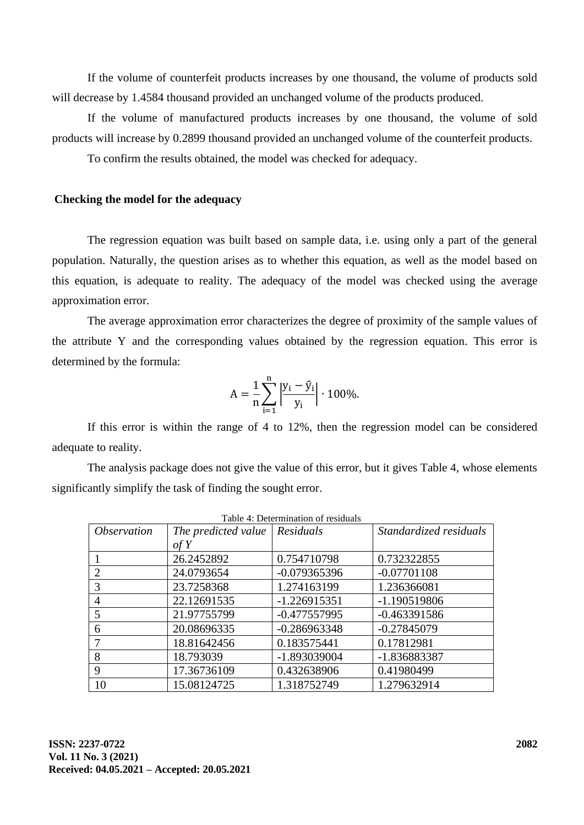If the volume of counterfeit products increases by one thousand, the volume of products sold will decrease by 1.4584 thousand provided an unchanged volume of the products produced.

If the volume of manufactured products increases by one thousand, the volume of sold products will increase by 0.2899 thousand provided an unchanged volume of the counterfeit products.

To confirm the results obtained, the model was checked for adequacy.

### **Checking the model for the adequacy**

The regression equation was built based on sample data, i.e. using only a part of the general population. Naturally, the question arises as to whether this equation, as well as the model based on this equation, is adequate to reality. The adequacy of the model was checked using the average approximation error.

The average approximation error characterizes the degree of proximity of the sample values of the attribute Y and the corresponding values obtained by the regression equation. This error is determined by the formula:

$$
A = \frac{1}{n} \sum_{i=1}^{n} \left| \frac{y_i - \hat{y}_i}{y_i} \right| \cdot 100\%.
$$

If this error is within the range of 4 to 12%, then the regression model can be considered adequate to reality.

The analysis package does not give the value of this error, but it gives Table 4, whose elements significantly simplify the task of finding the sought error.

| Table 4: Determination of residuals |                     |                  |                        |  |  |  |
|-------------------------------------|---------------------|------------------|------------------------|--|--|--|
| <i><b>Observation</b></i>           | The predicted value | $\mid$ Residuals | Standardized residuals |  |  |  |
|                                     | of Y                |                  |                        |  |  |  |
|                                     | 26.2452892          | 0.754710798      | 0.732322855            |  |  |  |
| 2                                   | 24.0793654          | $-0.079365396$   | $-0.07701108$          |  |  |  |
| 3                                   | 23.7258368          | 1.274163199      | 1.236366081            |  |  |  |
| $\overline{4}$                      | 22.12691535         | $-1.226915351$   | -1.190519806           |  |  |  |
| 5                                   | 21.97755799         | $-0.477557995$   | $-0.463391586$         |  |  |  |
| 6                                   | 20.08696335         | $-0.286963348$   | $-0.27845079$          |  |  |  |
|                                     | 18.81642456         | 0.183575441      | 0.17812981             |  |  |  |
| 8                                   | 18.793039           | -1.893039004     | -1.836883387           |  |  |  |
| 9                                   | 17.36736109         | 0.432638906      | 0.41980499             |  |  |  |
| 10                                  | 15.08124725         | 1.318752749      | 1.279632914            |  |  |  |

Table 4: Determination of residuals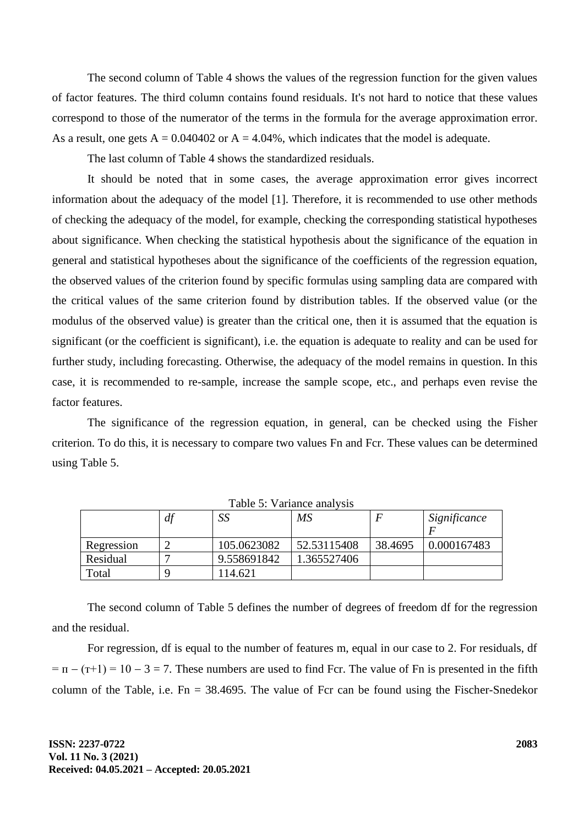The second column of Table 4 shows the values of the regression function for the given values of factor features. The third column contains found residuals. It's not hard to notice that these values correspond to those of the numerator of the terms in the formula for the average approximation error. As a result, one gets  $A = 0.040402$  or  $A = 4.04\%$ , which indicates that the model is adequate.

The last column of Table 4 shows the standardized residuals.

It should be noted that in some cases, the average approximation error gives incorrect information about the adequacy of the model [1]. Therefore, it is recommended to use other methods of checking the adequacy of the model, for example, checking the corresponding statistical hypotheses about significance. When checking the statistical hypothesis about the significance of the equation in general and statistical hypotheses about the significance of the coefficients of the regression equation, the observed values of the criterion found by specific formulas using sampling data are compared with the critical values of the same criterion found by distribution tables. If the observed value (or the modulus of the observed value) is greater than the critical one, then it is assumed that the equation is significant (or the coefficient is significant), i.e. the equation is adequate to reality and can be used for further study, including forecasting. Otherwise, the adequacy of the model remains in question. In this case, it is recommended to re-sample, increase the sample scope, etc., and perhaps even revise the factor features.

The significance of the regression equation, in general, can be checked using the Fisher criterion. To do this, it is necessary to compare two values Fn and Fcr. These values can be determined using Table 5.

|            | df | SS          | MS          |         | Significance |  |
|------------|----|-------------|-------------|---------|--------------|--|
| Regression |    | 105.0623082 | 52.53115408 | 38.4695 | 0.000167483  |  |
| Residual   |    | 9.558691842 | 1.365527406 |         |              |  |
| Total      |    | 114.621     |             |         |              |  |

Table 5: Variance analysis

The second column of Table 5 defines the number of degrees of freedom df for the regression and the residual.

For regression, df is equal to the number of features m, equal in our case to 2. For residuals, df  $= \pi - (\tau + 1) = 10 - 3 = 7$ . These numbers are used to find Fcr. The value of Fn is presented in the fifth column of the Table, i.e.  $Fn = 38.4695$ . The value of Fcr can be found using the Fischer-Snedekor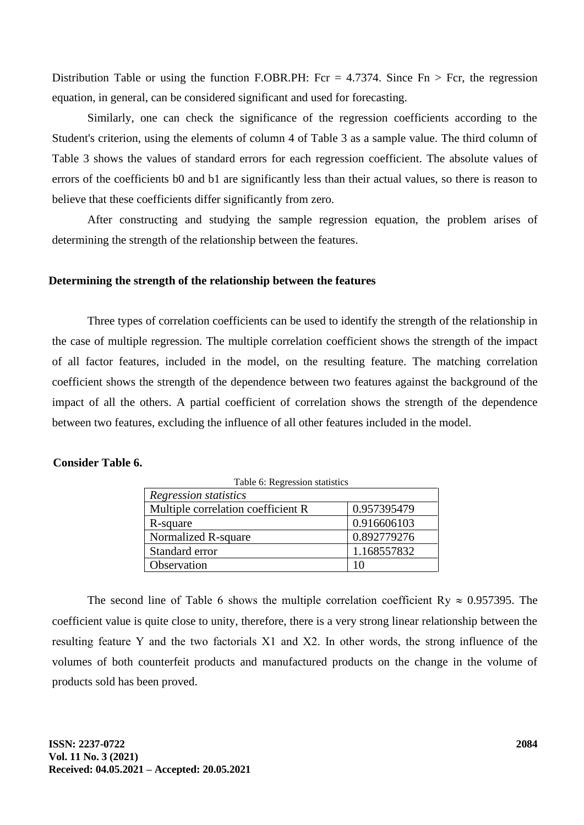Distribution Table or using the function F.OBR.PH: Fcr = 4.7374. Since  $Fn > Fcr$ , the regression equation, in general, can be considered significant and used for forecasting.

Similarly, one can check the significance of the regression coefficients according to the Student's criterion, using the elements of column 4 of Table 3 as a sample value. The third column of Table 3 shows the values of standard errors for each regression coefficient. The absolute values of errors of the coefficients b0 and b1 are significantly less than their actual values, so there is reason to believe that these coefficients differ significantly from zero.

After constructing and studying the sample regression equation, the problem arises of determining the strength of the relationship between the features.

### **Determining the strength of the relationship between the features**

Three types of correlation coefficients can be used to identify the strength of the relationship in the case of multiple regression. The multiple correlation coefficient shows the strength of the impact of all factor features, included in the model, on the resulting feature. The matching correlation coefficient shows the strength of the dependence between two features against the background of the impact of all the others. A partial coefficient of correlation shows the strength of the dependence between two features, excluding the influence of all other features included in the model.

### **Consider Table 6.**

| Table 6: Regression statistics     |             |  |  |  |
|------------------------------------|-------------|--|--|--|
| Regression statistics              |             |  |  |  |
| Multiple correlation coefficient R | 0.957395479 |  |  |  |
| R-square                           | 0.916606103 |  |  |  |
| Normalized R-square                | 0.892779276 |  |  |  |
| Standard error                     | 1.168557832 |  |  |  |
| Observation                        | 10          |  |  |  |

The second line of Table 6 shows the multiple correlation coefficient Ry  $\approx 0.957395$ . The coefficient value is quite close to unity, therefore, there is a very strong linear relationship between the resulting feature Y and the two factorials Х1 and Х2. In other words, the strong influence of the volumes of both counterfeit products and manufactured products on the change in the volume of products sold has been proved.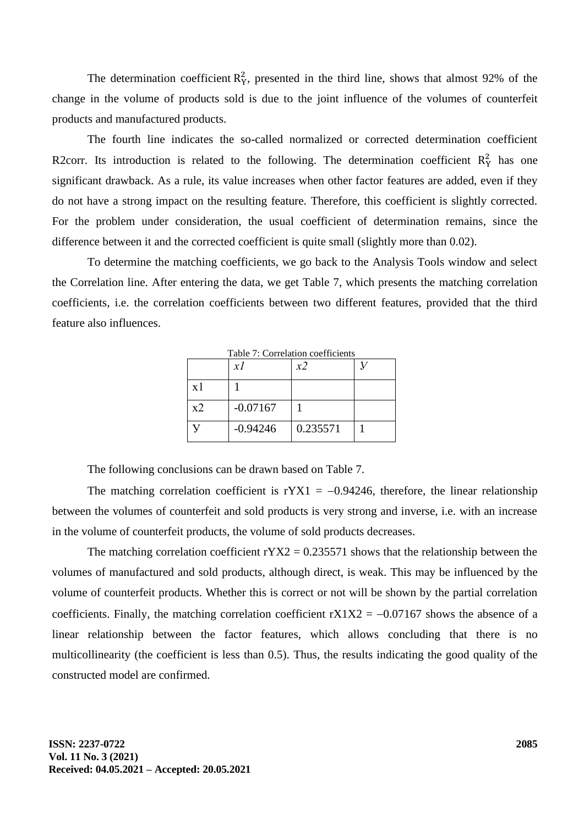The determination coefficient  $R_Y^2$ , presented in the third line, shows that almost 92% of the change in the volume of products sold is due to the joint influence of the volumes of counterfeit products and manufactured products.

The fourth line indicates the so-called normalized or corrected determination coefficient R2corr. Its introduction is related to the following. The determination coefficient  $R_Y^2$  has one significant drawback. As a rule, its value increases when other factor features are added, even if they do not have a strong impact on the resulting feature. Therefore, this coefficient is slightly corrected. For the problem under consideration, the usual coefficient of determination remains, since the difference between it and the corrected coefficient is quite small (slightly more than 0.02).

To determine the matching coefficients, we go back to the Analysis Tools window and select the Correlation line. After entering the data, we get Table 7, which presents the matching correlation coefficients, i.e. the correlation coefficients between two different features, provided that the third feature also influences.

|                | xI         | х2       |  |
|----------------|------------|----------|--|
| $\mathbf{x}$ 1 |            |          |  |
| x2             | $-0.07167$ |          |  |
|                | $-0.94246$ | 0.235571 |  |

 $T_{\text{a}}$ kle  $7:$  Countable coefficients

The following conclusions can be drawn based on Table 7.

The matching correlation coefficient is  $rYX1 = -0.94246$ , therefore, the linear relationship between the volumes of counterfeit and sold products is very strong and inverse, i.e. with an increase in the volume of counterfeit products, the volume of sold products decreases.

The matching correlation coefficient  $rYX2 = 0.235571$  shows that the relationship between the volumes of manufactured and sold products, although direct, is weak. This may be influenced by the volume of counterfeit products. Whether this is correct or not will be shown by the partial correlation coefficients. Finally, the matching correlation coefficient  $rX1X2 = -0.07167$  shows the absence of a linear relationship between the factor features, which allows concluding that there is no multicollinearity (the coefficient is less than 0.5). Thus, the results indicating the good quality of the constructed model are confirmed.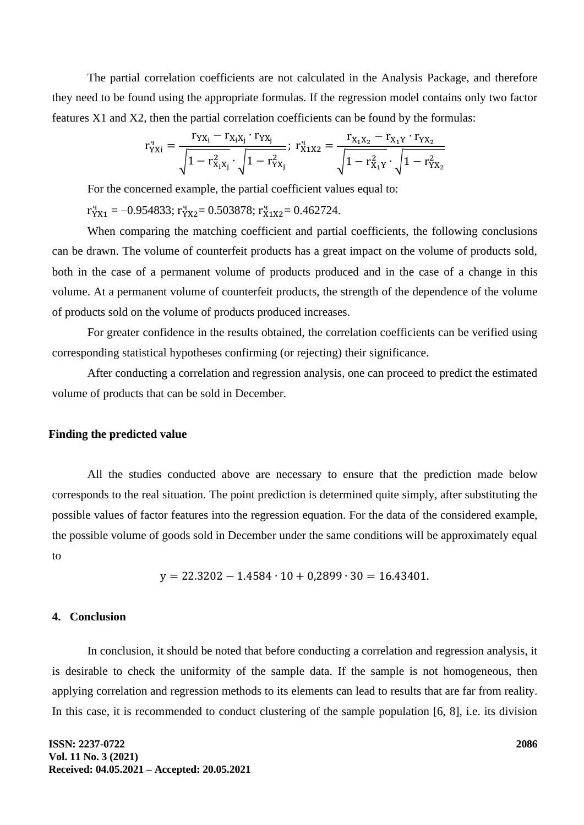The partial correlation coefficients are not calculated in the Analysis Package, and therefore they need to be found using the appropriate formulas. If the regression model contains only two factor features X1 and X2, then the partial correlation coefficients can be found by the formulas:

$$
r^{_q}_{YXi}=\frac{r_{YX_i}-r_{X_iX_j}\cdot r_{YX_j}}{\sqrt{1-r^2_{X_iX_j}}\cdot\sqrt{1-r^2_{YX_j}}};\;r^{_q}_{X1X2}=\frac{r_{X_1X_2}-r_{X_1Y}\cdot r_{YX_2}}{\sqrt{1-r^2_{X_1Y}}\cdot\sqrt{1-r^2_{YX_2}}}
$$

For the concerned example, the partial coefficient values equal to:

 $r_{YX1}^q = -0.954833$ ;  $r_{YX2}^q = 0.503878$ ;  $r_{X1X2}^q = 0.462724$ .

When comparing the matching coefficient and partial coefficients, the following conclusions can be drawn. The volume of counterfeit products has a great impact on the volume of products sold, both in the case of a permanent volume of products produced and in the case of a change in this volume. At a permanent volume of counterfeit products, the strength of the dependence of the volume of products sold on the volume of products produced increases.

For greater confidence in the results obtained, the correlation coefficients can be verified using corresponding statistical hypotheses confirming (or rejecting) their significance.

After conducting a correlation and regression analysis, one can proceed to predict the estimated volume of products that can be sold in December.

### **Finding the predicted value**

All the studies conducted above are necessary to ensure that the prediction made below corresponds to the real situation. The point prediction is determined quite simply, after substituting the possible values of factor features into the regression equation. For the data of the considered example, the possible volume of goods sold in December under the same conditions will be approximately equal to

$$
y = 22.3202 - 1.4584 \cdot 10 + 0.2899 \cdot 30 = 16.43401.
$$

### **4. Conclusion**

In conclusion, it should be noted that before conducting a correlation and regression analysis, it is desirable to check the uniformity of the sample data. If the sample is not homogeneous, then applying correlation and regression methods to its elements can lead to results that are far from reality. In this case, it is recommended to conduct clustering of the sample population [6, 8], i.e. its division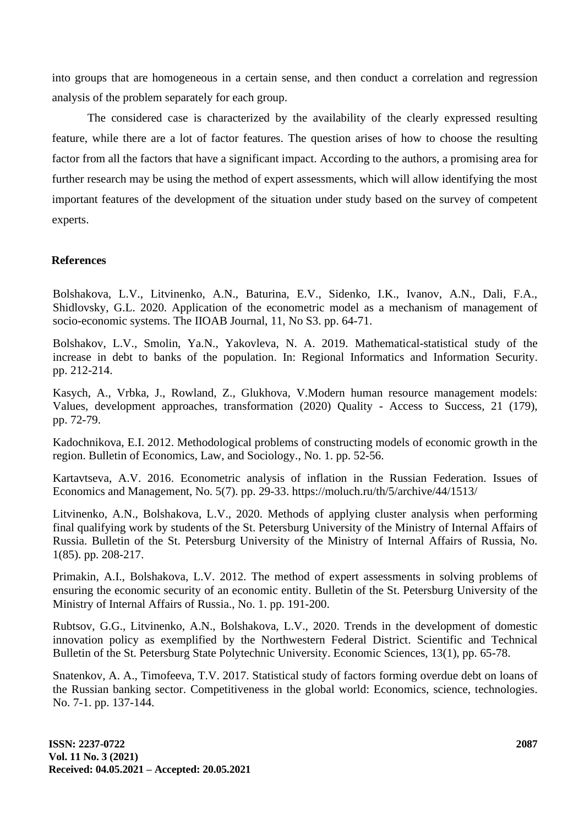into groups that are homogeneous in a certain sense, and then conduct a correlation and regression analysis of the problem separately for each group.

The considered case is characterized by the availability of the clearly expressed resulting feature, while there are a lot of factor features. The question arises of how to choose the resulting factor from all the factors that have a significant impact. According to the authors, a promising area for further research may be using the method of expert assessments, which will allow identifying the most important features of the development of the situation under study based on the survey of competent experts.

### **References**

Bolshakova, L.V., Litvinenko, A.N., Baturina, E.V., Sidenko, I.K., Ivanov, A.N., Dali, F.A., Shidlovsky, G.L. 2020. Application of the econometric model as a mechanism of management of socio-economic systems. The IIOAB Journal, 11, No S3. pp. 64-71.

Bolshakov, L.V., Smolin, Ya.N., Yakovleva, N. A. 2019. Mathematical-statistical study of the increase in debt to banks of the population. In: Regional Informatics and Information Security. pp. 212-214.

Kasych, A., Vrbka, J., Rowland, Z., Glukhova, V.Modern human resource management models: Values, development approaches, transformation (2020) Quality - Access to Success, 21 (179), pp. 72-79.

Kadochnikova, E.I. 2012. Methodological problems of constructing models of economic growth in the region. Bulletin of Economics, Law, and Sociology., No. 1. pp. 52-56.

Kartavtseva, A.V. 2016. Econometric analysis of inflation in the Russian Federation. Issues of Economics and Management, No. 5(7). pp. 29-33. https://moluch.ru/th/5/archive/44/1513/

Litvinenko, A.N., Bolshakova, L.V., 2020. Methods of applying cluster analysis when performing final qualifying work by students of the St. Petersburg University of the Ministry of Internal Affairs of Russia. Bulletin of the St. Petersburg University of the Ministry of Internal Affairs of Russia, No. 1(85). pp. 208-217.

Primakin, A.I., Bolshakova, L.V. 2012. The method of expert assessments in solving problems of ensuring the economic security of an economic entity. Bulletin of the St. Petersburg University of the Ministry of Internal Affairs of Russia., No. 1. pp. 191-200.

Rubtsov, G.G., Litvinenko, A.N., Bolshakova, L.V., 2020. Trends in the development of domestic innovation policy as exemplified by the Northwestern Federal District. Scientific and Technical Bulletin of the St. Petersburg State Polytechnic University. Economic Sciences, 13(1), pp. 65-78.

Snatenkov, A. A., Timofeeva, T.V. 2017. Statistical study of factors forming overdue debt on loans of the Russian banking sector. Competitiveness in the global world: Economics, science, technologies. No. 7-1. pp. 137-144.